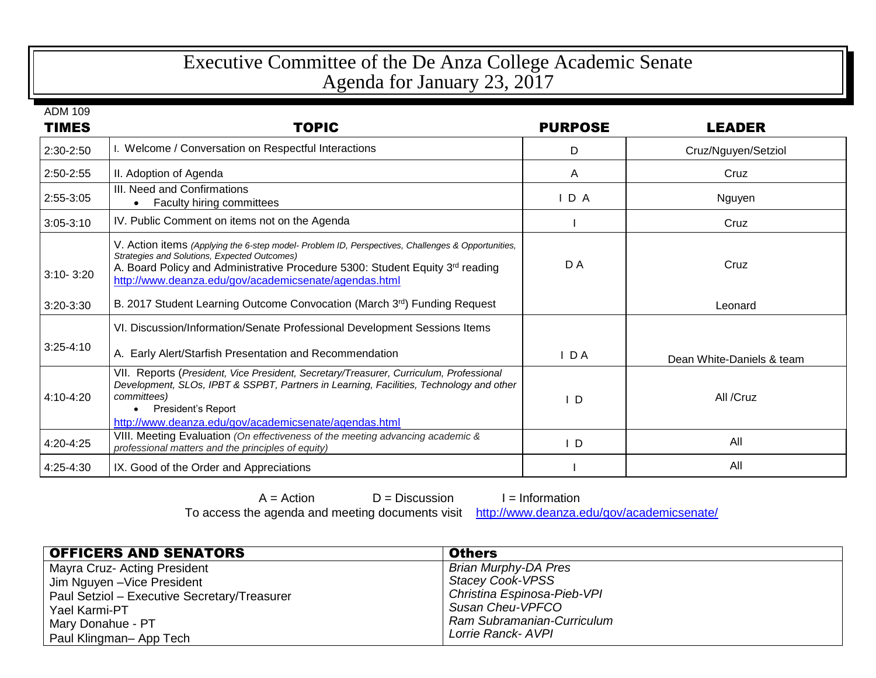## Executive Committee of the De Anza College Academic Senate Agenda for January 23, 2017

| <b>ADM 109</b> |                                                                                                                                                                                                                                                                                             |                |                           |
|----------------|---------------------------------------------------------------------------------------------------------------------------------------------------------------------------------------------------------------------------------------------------------------------------------------------|----------------|---------------------------|
| <b>TIMES</b>   | <b>TOPIC</b>                                                                                                                                                                                                                                                                                | <b>PURPOSE</b> | <b>LEADER</b>             |
| 2:30-2:50      | I. Welcome / Conversation on Respectful Interactions                                                                                                                                                                                                                                        | D              | Cruz/Nguyen/Setziol       |
| 2:50-2:55      | II. Adoption of Agenda                                                                                                                                                                                                                                                                      | A              | Cruz                      |
| 2:55-3:05      | III. Need and Confirmations<br><b>Faculty hiring committees</b><br>$\bullet$                                                                                                                                                                                                                | D A            | Nguyen                    |
| $3:05 - 3:10$  | IV. Public Comment on items not on the Agenda                                                                                                                                                                                                                                               |                | Cruz                      |
| $3:10 - 3:20$  | V. Action items (Applying the 6-step model- Problem ID, Perspectives, Challenges & Opportunities,<br>Strategies and Solutions, Expected Outcomes)<br>A. Board Policy and Administrative Procedure 5300: Student Equity 3rd reading<br>http://www.deanza.edu/gov/academicsenate/agendas.html | D A            | Cruz                      |
| $3:20-3:30$    | B. 2017 Student Learning Outcome Convocation (March 3rd) Funding Request                                                                                                                                                                                                                    |                | Leonard                   |
| $3:25 - 4:10$  | VI. Discussion/Information/Senate Professional Development Sessions Items<br>A. Early Alert/Starfish Presentation and Recommendation                                                                                                                                                        | D A            | Dean White-Daniels & team |
| 4:10-4:20      | VII. Reports (President, Vice President, Secretary/Treasurer, Curriculum, Professional<br>Development, SLOs, IPBT & SSPBT, Partners in Learning, Facilities, Technology and other<br>committees)<br>President's Report<br>http://www.deanza.edu/gov/academicsenate/agendas.html             | D              | All /Cruz                 |
| 4:20-4:25      | VIII. Meeting Evaluation (On effectiveness of the meeting advancing academic &<br>professional matters and the principles of equity)                                                                                                                                                        | ID.            | All                       |
| 4:25-4:30      | IX. Good of the Order and Appreciations                                                                                                                                                                                                                                                     |                | All                       |

 $A =$  Action  $D =$  Discussion  $I =$  Information<br>e agenda and meeting documents visit http://www.deanza.edu/gov/academicsenate/ To access the agenda and meeting documents visit

| <b>OFFICERS AND SENATORS</b>                 | <b>Others</b>               |
|----------------------------------------------|-----------------------------|
| Mayra Cruz- Acting President                 | <b>Brian Murphy-DA Pres</b> |
| Jim Nguyen - Vice President                  | Stacey Cook-VPSS            |
| Paul Setziol - Executive Secretary/Treasurer | Christina Espinosa-Pieb-VPI |
| Yael Karmi-PT                                | Susan Cheu-VPFCO            |
| Mary Donahue - PT                            | Ram Subramanian-Curriculum  |
| Paul Klingman- App Tech                      | Lorrie Ranck- AVPI          |